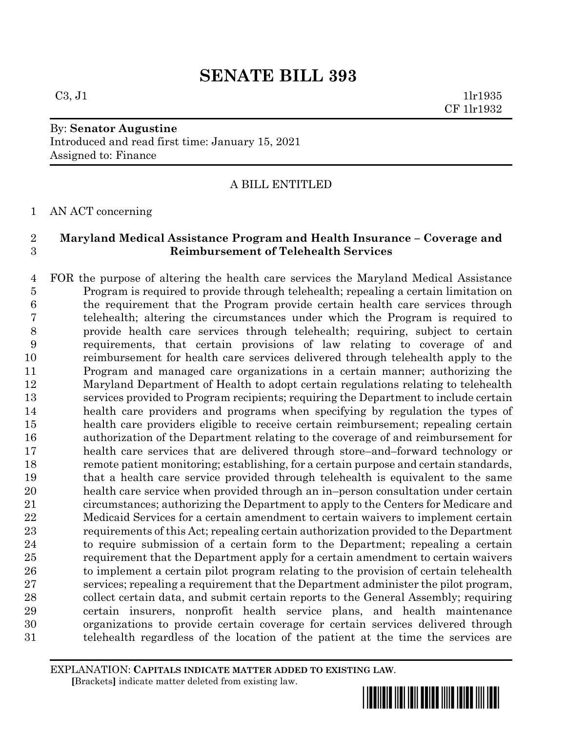$C3, J1$  1lr1935 CF 1lr1932

## By: **Senator Augustine** Introduced and read first time: January 15, 2021

Assigned to: Finance

## A BILL ENTITLED

AN ACT concerning

### **Maryland Medical Assistance Program and Health Insurance – Coverage and Reimbursement of Telehealth Services**

 FOR the purpose of altering the health care services the Maryland Medical Assistance Program is required to provide through telehealth; repealing a certain limitation on the requirement that the Program provide certain health care services through telehealth; altering the circumstances under which the Program is required to provide health care services through telehealth; requiring, subject to certain requirements, that certain provisions of law relating to coverage of and reimbursement for health care services delivered through telehealth apply to the Program and managed care organizations in a certain manner; authorizing the Maryland Department of Health to adopt certain regulations relating to telehealth services provided to Program recipients; requiring the Department to include certain health care providers and programs when specifying by regulation the types of health care providers eligible to receive certain reimbursement; repealing certain authorization of the Department relating to the coverage of and reimbursement for health care services that are delivered through store–and–forward technology or remote patient monitoring; establishing, for a certain purpose and certain standards, that a health care service provided through telehealth is equivalent to the same health care service when provided through an in–person consultation under certain circumstances; authorizing the Department to apply to the Centers for Medicare and Medicaid Services for a certain amendment to certain waivers to implement certain requirements of this Act; repealing certain authorization provided to the Department to require submission of a certain form to the Department; repealing a certain requirement that the Department apply for a certain amendment to certain waivers 26 to implement a certain pilot program relating to the provision of certain telehealth services; repealing a requirement that the Department administer the pilot program, collect certain data, and submit certain reports to the General Assembly; requiring certain insurers, nonprofit health service plans, and health maintenance organizations to provide certain coverage for certain services delivered through telehealth regardless of the location of the patient at the time the services are

EXPLANATION: **CAPITALS INDICATE MATTER ADDED TO EXISTING LAW**.  **[**Brackets**]** indicate matter deleted from existing law.

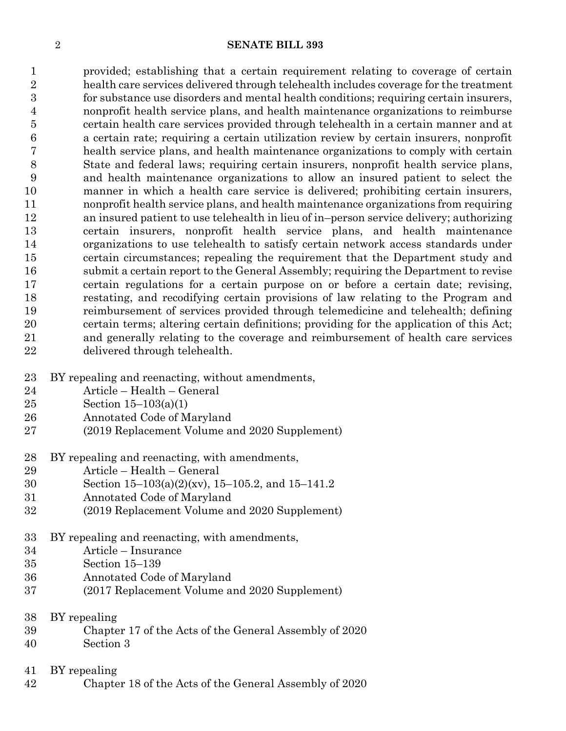provided; establishing that a certain requirement relating to coverage of certain health care services delivered through telehealth includes coverage for the treatment for substance use disorders and mental health conditions; requiring certain insurers, nonprofit health service plans, and health maintenance organizations to reimburse certain health care services provided through telehealth in a certain manner and at a certain rate; requiring a certain utilization review by certain insurers, nonprofit health service plans, and health maintenance organizations to comply with certain State and federal laws; requiring certain insurers, nonprofit health service plans, and health maintenance organizations to allow an insured patient to select the manner in which a health care service is delivered; prohibiting certain insurers, nonprofit health service plans, and health maintenance organizations from requiring an insured patient to use telehealth in lieu of in–person service delivery; authorizing certain insurers, nonprofit health service plans, and health maintenance organizations to use telehealth to satisfy certain network access standards under certain circumstances; repealing the requirement that the Department study and submit a certain report to the General Assembly; requiring the Department to revise certain regulations for a certain purpose on or before a certain date; revising, restating, and recodifying certain provisions of law relating to the Program and reimbursement of services provided through telemedicine and telehealth; defining certain terms; altering certain definitions; providing for the application of this Act; and generally relating to the coverage and reimbursement of health care services delivered through telehealth.

- BY repealing and reenacting, without amendments,
- Article Health General
- Section 15–103(a)(1)
- Annotated Code of Maryland
- (2019 Replacement Volume and 2020 Supplement)
- BY repealing and reenacting, with amendments,
- Article Health General
- Section 15–103(a)(2)(xv), 15–105.2, and 15–141.2
- Annotated Code of Maryland
- (2019 Replacement Volume and 2020 Supplement)
- BY repealing and reenacting, with amendments,
- Article Insurance
- Section 15–139
- Annotated Code of Maryland
- (2017 Replacement Volume and 2020 Supplement)
- BY repealing
- Chapter 17 of the Acts of the General Assembly of 2020
- Section 3
- BY repealing
- Chapter 18 of the Acts of the General Assembly of 2020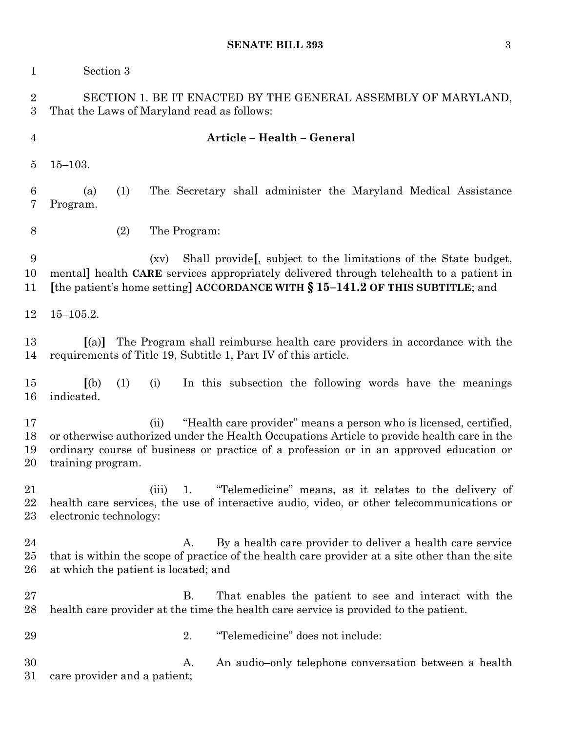| $\mathbf{1}$          | Section 3                                                                                                                                                                                                                                                                              |
|-----------------------|----------------------------------------------------------------------------------------------------------------------------------------------------------------------------------------------------------------------------------------------------------------------------------------|
| $\boldsymbol{2}$<br>3 | SECTION 1. BE IT ENACTED BY THE GENERAL ASSEMBLY OF MARYLAND,<br>That the Laws of Maryland read as follows:                                                                                                                                                                            |
| $\overline{4}$        | Article - Health - General                                                                                                                                                                                                                                                             |
| $\overline{5}$        | $15 - 103.$                                                                                                                                                                                                                                                                            |
| $\boldsymbol{6}$<br>7 | The Secretary shall administer the Maryland Medical Assistance<br>(1)<br>(a)<br>Program.                                                                                                                                                                                               |
| 8                     | (2)<br>The Program:                                                                                                                                                                                                                                                                    |
| 9<br>10<br>11         | Shall provide, subject to the limitations of the State budget,<br>(xv)<br>mental] health CARE services appropriately delivered through telehealth to a patient in<br>[the patient's home setting] ACCORDANCE WITH § 15-141.2 OF THIS SUBTITLE; and                                     |
| 12                    | $15 - 105.2.$                                                                                                                                                                                                                                                                          |
| 13<br>14              | The Program shall reimburse health care providers in accordance with the<br>(a)<br>requirements of Title 19, Subtitle 1, Part IV of this article.                                                                                                                                      |
| 15<br>16              | (a)<br>In this subsection the following words have the meanings<br>(1)<br>(i)<br>indicated.                                                                                                                                                                                            |
| 17<br>18<br>19<br>20  | "Health care provider" means a person who is licensed, certified,<br>(ii)<br>or otherwise authorized under the Health Occupations Article to provide health care in the<br>ordinary course of business or practice of a profession or in an approved education or<br>training program. |
| 21<br>22<br>23        | "Telemedicine" means, as it relates to the delivery of<br>(iii)<br>1.<br>health care services, the use of interactive audio, video, or other telecommunications or<br>electronic technology:                                                                                           |
| 24<br>25<br>26        | By a health care provider to deliver a health care service<br>A.<br>that is within the scope of practice of the health care provider at a site other than the site<br>at which the patient is located; and                                                                             |
| 27<br>28              | <b>B.</b><br>That enables the patient to see and interact with the<br>health care provider at the time the health care service is provided to the patient.                                                                                                                             |
| 29                    | "Telemedicine" does not include:<br>2.                                                                                                                                                                                                                                                 |
| 30<br>31              | An audio-only telephone conversation between a health<br>A.<br>care provider and a patient;                                                                                                                                                                                            |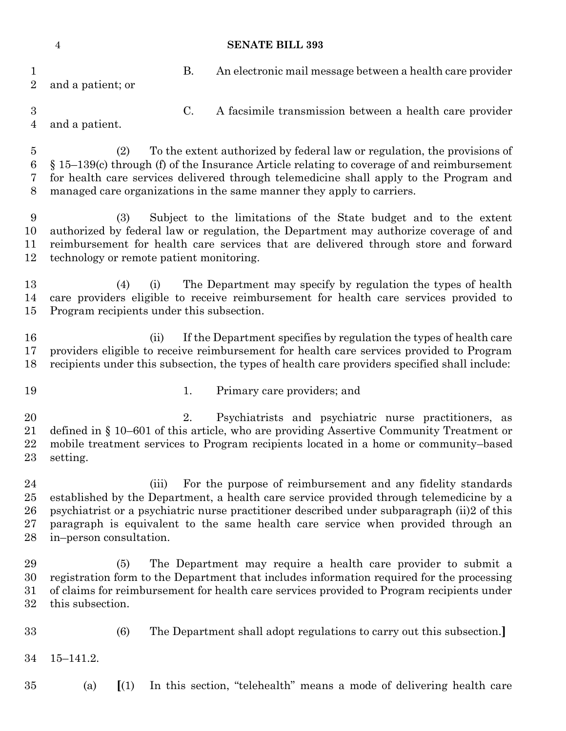| $\mathbf 1$<br>$\overline{2}$ | and a patient; or                                                                                                                                                                                                                                                                                                                                   |                                                   | <b>B.</b>                                        | An electronic mail message between a health care provider                                                                                                                                                                                                                                                                                 |  |  |
|-------------------------------|-----------------------------------------------------------------------------------------------------------------------------------------------------------------------------------------------------------------------------------------------------------------------------------------------------------------------------------------------------|---------------------------------------------------|--------------------------------------------------|-------------------------------------------------------------------------------------------------------------------------------------------------------------------------------------------------------------------------------------------------------------------------------------------------------------------------------------------|--|--|
| $\sqrt{3}$<br>4               | and a patient.                                                                                                                                                                                                                                                                                                                                      |                                                   | C.                                               | A facsimile transmission between a health care provider                                                                                                                                                                                                                                                                                   |  |  |
| $\overline{5}$<br>6<br>7<br>8 | To the extent authorized by federal law or regulation, the provisions of<br>(2)<br>$\S 15-139(c)$ through (f) of the Insurance Article relating to coverage of and reimbursement<br>for health care services delivered through telemedicine shall apply to the Program and<br>managed care organizations in the same manner they apply to carriers. |                                                   |                                                  |                                                                                                                                                                                                                                                                                                                                           |  |  |
| 9<br>10<br>11<br>12           | Subject to the limitations of the State budget and to the extent<br>(3)<br>authorized by federal law or regulation, the Department may authorize coverage of and<br>reimbursement for health care services that are delivered through store and forward<br>technology or remote patient monitoring.                                                 |                                                   |                                                  |                                                                                                                                                                                                                                                                                                                                           |  |  |
| 13<br>14<br>15                |                                                                                                                                                                                                                                                                                                                                                     | (4)                                               | (i)<br>Program recipients under this subsection. | The Department may specify by regulation the types of health<br>care providers eligible to receive reimbursement for health care services provided to                                                                                                                                                                                     |  |  |
| 16<br>17<br>18                |                                                                                                                                                                                                                                                                                                                                                     |                                                   | (ii)                                             | If the Department specifies by regulation the types of health care<br>providers eligible to receive reimbursement for health care services provided to Program<br>recipients under this subsection, the types of health care providers specified shall include:                                                                           |  |  |
| 19                            |                                                                                                                                                                                                                                                                                                                                                     |                                                   | 1.                                               | Primary care providers; and                                                                                                                                                                                                                                                                                                               |  |  |
| 20<br>21<br>22<br>23          | setting.                                                                                                                                                                                                                                                                                                                                            |                                                   | 2.                                               | Psychiatrists and psychiatric nurse practitioners, as<br>defined in § 10–601 of this article, who are providing Assertive Community Treatment or<br>mobile treatment services to Program recipients located in a home or community-based                                                                                                  |  |  |
| 24<br>25<br>26<br>27<br>28    | in-person consultation.                                                                                                                                                                                                                                                                                                                             |                                                   | (iii)                                            | For the purpose of reimbursement and any fidelity standards<br>established by the Department, a health care service provided through telemedicine by a<br>psychiatrist or a psychiatric nurse practitioner described under subparagraph (ii)2 of this<br>paragraph is equivalent to the same health care service when provided through an |  |  |
| 29<br>30<br>31<br>32          | this subsection.                                                                                                                                                                                                                                                                                                                                    | (5)                                               |                                                  | The Department may require a health care provider to submit a<br>registration form to the Department that includes information required for the processing<br>of claims for reimbursement for health care services provided to Program recipients under                                                                                   |  |  |
| 33                            |                                                                                                                                                                                                                                                                                                                                                     | (6)                                               |                                                  | The Department shall adopt regulations to carry out this subsection.                                                                                                                                                                                                                                                                      |  |  |
| 34                            | $15 - 141.2.$                                                                                                                                                                                                                                                                                                                                       |                                                   |                                                  |                                                                                                                                                                                                                                                                                                                                           |  |  |
| 35                            | (a)                                                                                                                                                                                                                                                                                                                                                 | $\left[ \begin{array}{c} (1) \end{array} \right]$ |                                                  | In this section, "telehealth" means a mode of delivering health care                                                                                                                                                                                                                                                                      |  |  |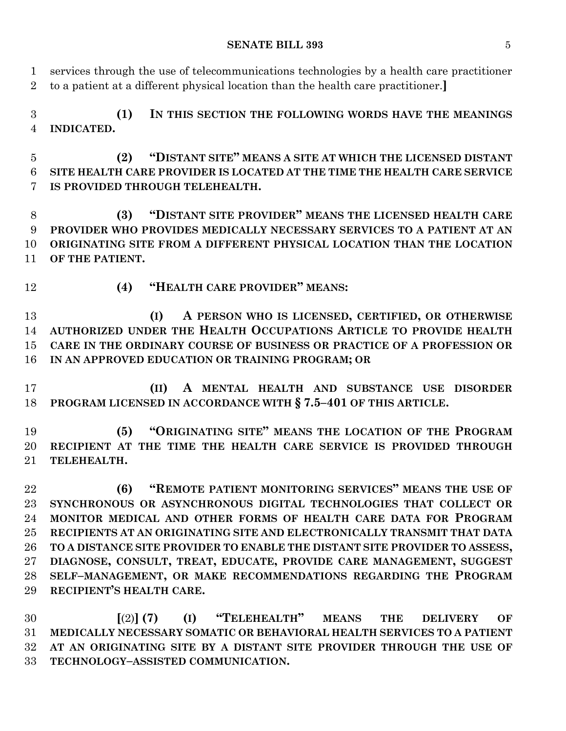**SENATE BILL 393** 5

 services through the use of telecommunications technologies by a health care practitioner to a patient at a different physical location than the health care practitioner.**] (1) IN THIS SECTION THE FOLLOWING WORDS HAVE THE MEANINGS INDICATED. (2) "DISTANT SITE" MEANS A SITE AT WHICH THE LICENSED DISTANT SITE HEALTH CARE PROVIDER IS LOCATED AT THE TIME THE HEALTH CARE SERVICE IS PROVIDED THROUGH TELEHEALTH. (3) "DISTANT SITE PROVIDER" MEANS THE LICENSED HEALTH CARE PROVIDER WHO PROVIDES MEDICALLY NECESSARY SERVICES TO A PATIENT AT AN ORIGINATING SITE FROM A DIFFERENT PHYSICAL LOCATION THAN THE LOCATION OF THE PATIENT. (4) "HEALTH CARE PROVIDER" MEANS: (I) A PERSON WHO IS LICENSED, CERTIFIED, OR OTHERWISE AUTHORIZED UNDER THE HEALTH OCCUPATIONS ARTICLE TO PROVIDE HEALTH CARE IN THE ORDINARY COURSE OF BUSINESS OR PRACTICE OF A PROFESSION OR IN AN APPROVED EDUCATION OR TRAINING PROGRAM; OR (II) A MENTAL HEALTH AND SUBSTANCE USE DISORDER PROGRAM LICENSED IN ACCORDANCE WITH § 7.5–401 OF THIS ARTICLE. (5) "ORIGINATING SITE" MEANS THE LOCATION OF THE PROGRAM RECIPIENT AT THE TIME THE HEALTH CARE SERVICE IS PROVIDED THROUGH TELEHEALTH. (6) "REMOTE PATIENT MONITORING SERVICES" MEANS THE USE OF SYNCHRONOUS OR ASYNCHRONOUS DIGITAL TECHNOLOGIES THAT COLLECT OR MONITOR MEDICAL AND OTHER FORMS OF HEALTH CARE DATA FOR PROGRAM RECIPIENTS AT AN ORIGINATING SITE AND ELECTRONICALLY TRANSMIT THAT DATA TO A DISTANCE SITE PROVIDER TO ENABLE THE DISTANT SITE PROVIDER TO ASSESS, DIAGNOSE, CONSULT, TREAT, EDUCATE, PROVIDE CARE MANAGEMENT, SUGGEST SELF–MANAGEMENT, OR MAKE RECOMMENDATIONS REGARDING THE PROGRAM RECIPIENT'S HEALTH CARE. [**(2)**] (7) (I) "TELEHEALTH" MEANS THE DELIVERY OF** 

 **MEDICALLY NECESSARY SOMATIC OR BEHAVIORAL HEALTH SERVICES TO A PATIENT AT AN ORIGINATING SITE BY A DISTANT SITE PROVIDER THROUGH THE USE OF TECHNOLOGY–ASSISTED COMMUNICATION.**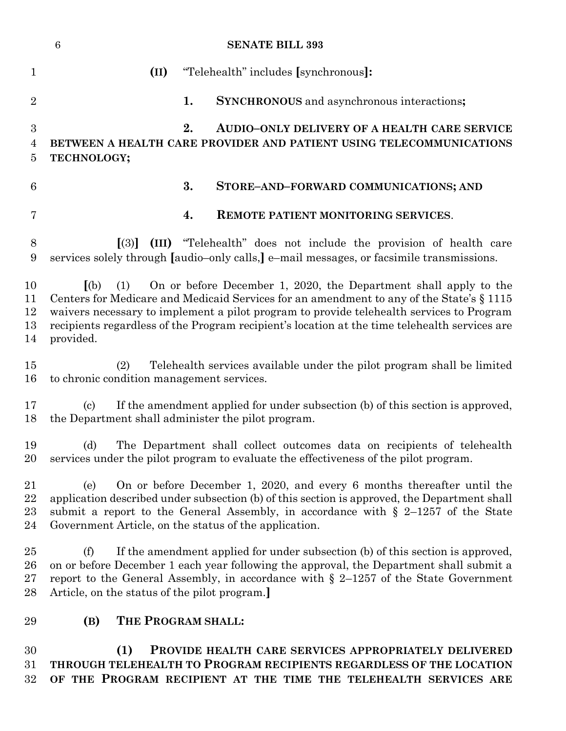|                              | $\boldsymbol{6}$<br><b>SENATE BILL 393</b>                                                                                                                                                                                                                                                                                                                                           |  |  |
|------------------------------|--------------------------------------------------------------------------------------------------------------------------------------------------------------------------------------------------------------------------------------------------------------------------------------------------------------------------------------------------------------------------------------|--|--|
| $\mathbf{1}$                 | (II)<br>"Telehealth" includes [synchronous]:                                                                                                                                                                                                                                                                                                                                         |  |  |
| $\overline{2}$               | 1.<br><b>SYNCHRONOUS</b> and asynchronous interactions;                                                                                                                                                                                                                                                                                                                              |  |  |
| 3<br>$\overline{4}$<br>5     | 2.<br><b>AUDIO-ONLY DELIVERY OF A HEALTH CARE SERVICE</b><br>BETWEEN A HEALTH CARE PROVIDER AND PATIENT USING TELECOMMUNICATIONS<br>TECHNOLOGY;                                                                                                                                                                                                                                      |  |  |
| $6\phantom{.}6$              | 3.<br>STORE-AND-FORWARD COMMUNICATIONS; AND                                                                                                                                                                                                                                                                                                                                          |  |  |
| 7                            | 4.<br><b>REMOTE PATIENT MONITORING SERVICES.</b>                                                                                                                                                                                                                                                                                                                                     |  |  |
| 8<br>9                       | (III) "Telehealth" does not include the provision of health care<br>$\lceil(3)\rceil$<br>services solely through [audio-only calls,] e-mail messages, or facsimile transmissions.                                                                                                                                                                                                    |  |  |
| 10<br>11<br>12<br>13<br>14   | (a)<br>On or before December 1, 2020, the Department shall apply to the<br>(1)<br>Centers for Medicare and Medicaid Services for an amendment to any of the State's § 1115<br>waivers necessary to implement a pilot program to provide telehealth services to Program<br>recipients regardless of the Program recipient's location at the time telehealth services are<br>provided. |  |  |
| 15<br>16                     | Telehealth services available under the pilot program shall be limited<br>(2)<br>to chronic condition management services.                                                                                                                                                                                                                                                           |  |  |
| 17<br>18                     | If the amendment applied for under subsection (b) of this section is approved,<br>$\left( \mathrm{c}\right)$<br>the Department shall administer the pilot program.                                                                                                                                                                                                                   |  |  |
| 19<br>20                     | (d)<br>The Department shall collect outcomes data on recipients of telehealth<br>services under the pilot program to evaluate the effectiveness of the pilot program.                                                                                                                                                                                                                |  |  |
| 21<br>22<br>23<br>24         | On or before December 1, 2020, and every 6 months thereafter until the<br>(e)<br>application described under subsection (b) of this section is approved, the Department shall<br>submit a report to the General Assembly, in accordance with $\S$ 2-1257 of the State<br>Government Article, on the status of the application.                                                       |  |  |
| $25\,$<br>$26\,$<br>27<br>28 | If the amendment applied for under subsection (b) of this section is approved,<br>(f)<br>on or before December 1 each year following the approval, the Department shall submit a<br>report to the General Assembly, in accordance with $\S$ 2-1257 of the State Government<br>Article, on the status of the pilot program.                                                           |  |  |
| 29                           | THE PROGRAM SHALL:<br>(B)                                                                                                                                                                                                                                                                                                                                                            |  |  |
| 30<br>31<br>32               | (1)<br>PROVIDE HEALTH CARE SERVICES APPROPRIATELY DELIVERED<br>THROUGH TELEHEALTH TO PROGRAM RECIPIENTS REGARDLESS OF THE LOCATION<br>OF THE PROGRAM RECIPIENT AT THE TIME THE TELEHEALTH SERVICES ARE                                                                                                                                                                               |  |  |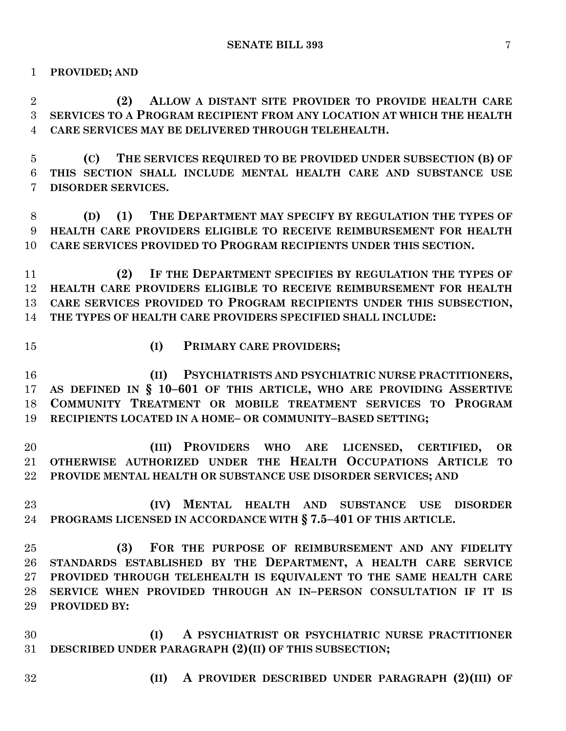**PROVIDED; AND**

 **(2) ALLOW A DISTANT SITE PROVIDER TO PROVIDE HEALTH CARE SERVICES TO A PROGRAM RECIPIENT FROM ANY LOCATION AT WHICH THE HEALTH CARE SERVICES MAY BE DELIVERED THROUGH TELEHEALTH.**

 **(C) THE SERVICES REQUIRED TO BE PROVIDED UNDER SUBSECTION (B) OF THIS SECTION SHALL INCLUDE MENTAL HEALTH CARE AND SUBSTANCE USE DISORDER SERVICES.**

 **(D) (1) THE DEPARTMENT MAY SPECIFY BY REGULATION THE TYPES OF HEALTH CARE PROVIDERS ELIGIBLE TO RECEIVE REIMBURSEMENT FOR HEALTH CARE SERVICES PROVIDED TO PROGRAM RECIPIENTS UNDER THIS SECTION.**

 **(2) IF THE DEPARTMENT SPECIFIES BY REGULATION THE TYPES OF HEALTH CARE PROVIDERS ELIGIBLE TO RECEIVE REIMBURSEMENT FOR HEALTH CARE SERVICES PROVIDED TO PROGRAM RECIPIENTS UNDER THIS SUBSECTION, THE TYPES OF HEALTH CARE PROVIDERS SPECIFIED SHALL INCLUDE:**

- 
- **(I) PRIMARY CARE PROVIDERS;**

 **(II) PSYCHIATRISTS AND PSYCHIATRIC NURSE PRACTITIONERS, AS DEFINED IN § 10–601 OF THIS ARTICLE, WHO ARE PROVIDING ASSERTIVE COMMUNITY TREATMENT OR MOBILE TREATMENT SERVICES TO PROGRAM RECIPIENTS LOCATED IN A HOME– OR COMMUNITY–BASED SETTING;**

 **(III) PROVIDERS WHO ARE LICENSED, CERTIFIED, OR OTHERWISE AUTHORIZED UNDER THE HEALTH OCCUPATIONS ARTICLE TO PROVIDE MENTAL HEALTH OR SUBSTANCE USE DISORDER SERVICES; AND**

 **(IV) MENTAL HEALTH AND SUBSTANCE USE DISORDER PROGRAMS LICENSED IN ACCORDANCE WITH § 7.5–401 OF THIS ARTICLE.**

 **(3) FOR THE PURPOSE OF REIMBURSEMENT AND ANY FIDELITY STANDARDS ESTABLISHED BY THE DEPARTMENT, A HEALTH CARE SERVICE PROVIDED THROUGH TELEHEALTH IS EQUIVALENT TO THE SAME HEALTH CARE SERVICE WHEN PROVIDED THROUGH AN IN–PERSON CONSULTATION IF IT IS PROVIDED BY:**

 **(I) A PSYCHIATRIST OR PSYCHIATRIC NURSE PRACTITIONER DESCRIBED UNDER PARAGRAPH (2)(II) OF THIS SUBSECTION;**

- 
- **(II) A PROVIDER DESCRIBED UNDER PARAGRAPH (2)(III) OF**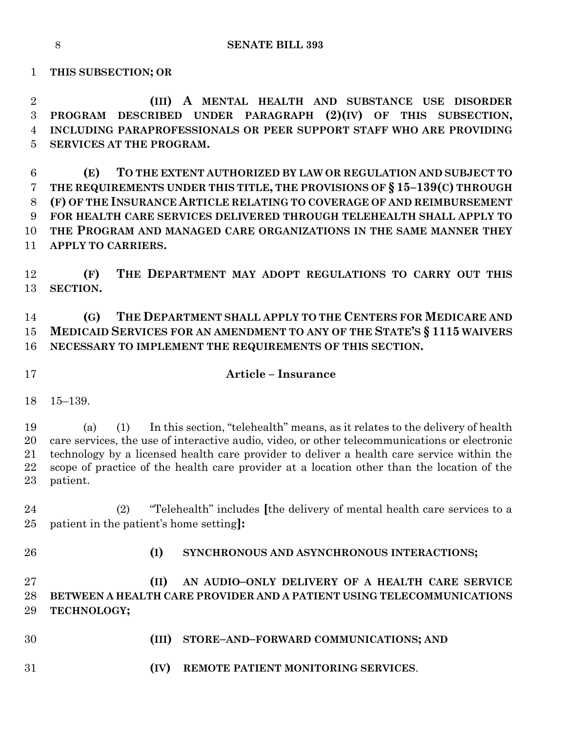**THIS SUBSECTION; OR**

 **(III) A MENTAL HEALTH AND SUBSTANCE USE DISORDER PROGRAM DESCRIBED UNDER PARAGRAPH (2)(IV) OF THIS SUBSECTION, INCLUDING PARAPROFESSIONALS OR PEER SUPPORT STAFF WHO ARE PROVIDING SERVICES AT THE PROGRAM.**

 **(E) TO THE EXTENT AUTHORIZED BY LAW OR REGULATION AND SUBJECT TO THE REQUIREMENTS UNDER THIS TITLE, THE PROVISIONS OF § 15–139(C) THROUGH (F) OF THE INSURANCE ARTICLE RELATING TO COVERAGE OF AND REIMBURSEMENT FOR HEALTH CARE SERVICES DELIVERED THROUGH TELEHEALTH SHALL APPLY TO THE PROGRAM AND MANAGED CARE ORGANIZATIONS IN THE SAME MANNER THEY APPLY TO CARRIERS.**

 **(F) THE DEPARTMENT MAY ADOPT REGULATIONS TO CARRY OUT THIS SECTION.**

 **(G) THE DEPARTMENT SHALL APPLY TO THE CENTERS FOR MEDICARE AND MEDICAID SERVICES FOR AN AMENDMENT TO ANY OF THE STATE'S § 1115 WAIVERS NECESSARY TO IMPLEMENT THE REQUIREMENTS OF THIS SECTION.**

#### **Article – Insurance**

15–139.

 (a) (1) In this section, "telehealth" means, as it relates to the delivery of health care services, the use of interactive audio, video, or other telecommunications or electronic technology by a licensed health care provider to deliver a health care service within the scope of practice of the health care provider at a location other than the location of the patient.

 (2) "Telehealth" includes **[**the delivery of mental health care services to a patient in the patient's home setting**]:**

**(I) SYNCHRONOUS AND ASYNCHRONOUS INTERACTIONS;**

 **(II) AN AUDIO–ONLY DELIVERY OF A HEALTH CARE SERVICE BETWEEN A HEALTH CARE PROVIDER AND A PATIENT USING TELECOMMUNICATIONS TECHNOLOGY;**

- **(III) STORE–AND–FORWARD COMMUNICATIONS; AND**
- **(IV) REMOTE PATIENT MONITORING SERVICES**.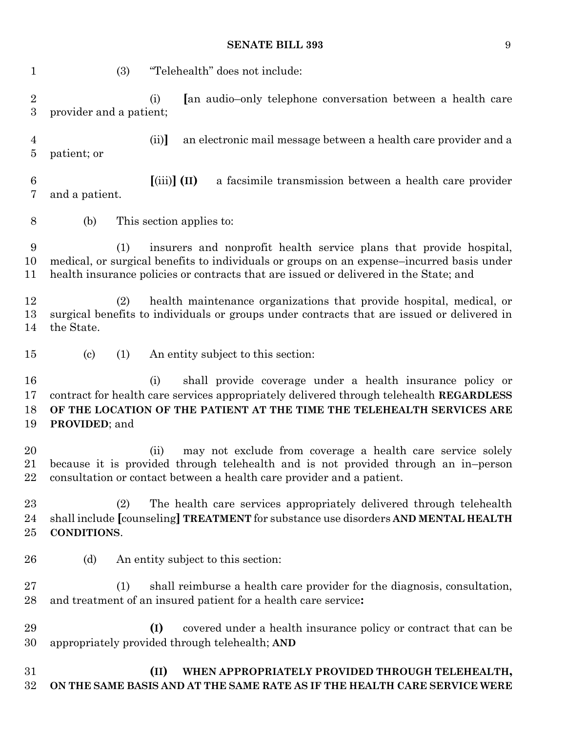### **SENATE BILL 393** 9

| 1                                  | "Telehealth" does not include:<br>(3)                                                                                                                                                                                                                           |
|------------------------------------|-----------------------------------------------------------------------------------------------------------------------------------------------------------------------------------------------------------------------------------------------------------------|
| $\overline{2}$<br>$\boldsymbol{3}$ | [an audio-only telephone conversation between a health care<br>(i)<br>provider and a patient;                                                                                                                                                                   |
| 4<br>5                             | (ii)<br>an electronic mail message between a health care provider and a<br>patient; or                                                                                                                                                                          |
| 6<br>7                             | $(iii)$ (II)<br>a facsimile transmission between a health care provider<br>and a patient.                                                                                                                                                                       |
| $8\,$                              | This section applies to:<br>(b)                                                                                                                                                                                                                                 |
| 9<br>10<br>11                      | insurers and nonprofit health service plans that provide hospital,<br>(1)<br>medical, or surgical benefits to individuals or groups on an expense-incurred basis under<br>health insurance policies or contracts that are issued or delivered in the State; and |
| 12<br>13<br>14                     | health maintenance organizations that provide hospital, medical, or<br>(2)<br>surgical benefits to individuals or groups under contracts that are issued or delivered in<br>the State.                                                                          |
| 15                                 | $\left( \mathrm{c}\right)$<br>(1)<br>An entity subject to this section:                                                                                                                                                                                         |
| 16<br>17<br>18<br>19               | shall provide coverage under a health insurance policy or<br>(i)<br>contract for health care services appropriately delivered through telehealth REGARDLESS<br>OF THE LOCATION OF THE PATIENT AT THE TIME THE TELEHEALTH SERVICES ARE<br><b>PROVIDED</b> ; and  |
| 20<br>21<br>22                     | may not exclude from coverage a health care service solely<br>(ii)<br>because it is provided through telehealth and is not provided through an in-person<br>consultation or contact between a health care provider and a patient.                               |
| 23<br>24<br>25                     | The health care services appropriately delivered through telehealth<br>(2)<br>shall include [counseling] TREATMENT for substance use disorders AND MENTAL HEALTH<br>CONDITIONS.                                                                                 |
| 26                                 | An entity subject to this section:<br>(d)                                                                                                                                                                                                                       |
| $\sqrt{27}$<br>28                  | shall reimburse a health care provider for the diagnosis, consultation,<br>(1)<br>and treatment of an insured patient for a health care service:                                                                                                                |
| 29<br>30                           | covered under a health insurance policy or contract that can be<br>(I)<br>appropriately provided through telehealth; AND                                                                                                                                        |
| 31<br>32                           | (II)<br>WHEN APPROPRIATELY PROVIDED THROUGH TELEHEALTH,<br>ON THE SAME BASIS AND AT THE SAME RATE AS IF THE HEALTH CARE SERVICE WERE                                                                                                                            |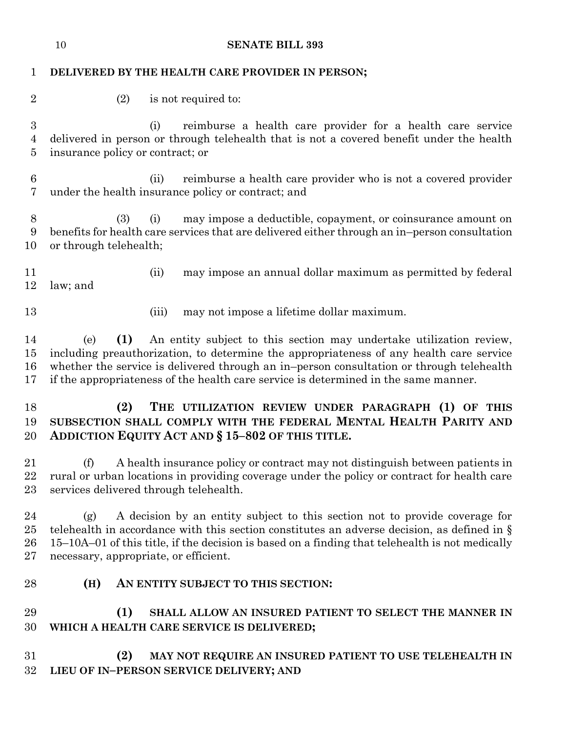|                                         | 10<br><b>SENATE BILL 393</b>                                                                                                                                                                                                                                                                                                                                    |  |  |
|-----------------------------------------|-----------------------------------------------------------------------------------------------------------------------------------------------------------------------------------------------------------------------------------------------------------------------------------------------------------------------------------------------------------------|--|--|
| 1                                       | DELIVERED BY THE HEALTH CARE PROVIDER IN PERSON;                                                                                                                                                                                                                                                                                                                |  |  |
| $\overline{2}$                          | (2)<br>is not required to:                                                                                                                                                                                                                                                                                                                                      |  |  |
| $\boldsymbol{3}$<br>$\overline{4}$<br>5 | reimburse a health care provider for a health care service<br>(i)<br>delivered in person or through telehealth that is not a covered benefit under the health<br>insurance policy or contract; or                                                                                                                                                               |  |  |
| $6\phantom{.}6$<br>7                    | reimburse a health care provider who is not a covered provider<br>(ii)<br>under the health insurance policy or contract; and                                                                                                                                                                                                                                    |  |  |
| $8\phantom{1}$<br>9<br>10               | may impose a deductible, copayment, or coinsurance amount on<br>(3)<br>(i)<br>benefits for health care services that are delivered either through an in-person consultation<br>or through telehealth;                                                                                                                                                           |  |  |
| 11<br>12                                | may impose an annual dollar maximum as permitted by federal<br>(ii)<br>law; and                                                                                                                                                                                                                                                                                 |  |  |
| 13                                      | may not impose a lifetime dollar maximum.<br>(iii)                                                                                                                                                                                                                                                                                                              |  |  |
| 14<br>15<br>16<br>17                    | (1)<br>An entity subject to this section may undertake utilization review,<br>(e)<br>including preauthorization, to determine the appropriateness of any health care service<br>whether the service is delivered through an in-person consultation or through telehealth<br>if the appropriateness of the health care service is determined in the same manner. |  |  |
| 18<br>19<br>20                          | (2)<br>THE UTILIZATION REVIEW UNDER PARAGRAPH (1) OF THIS<br>SUBSECTION SHALL COMPLY WITH THE FEDERAL MENTAL HEALTH PARITY AND<br>ADDICTION EQUITY ACT AND § 15-802 OF THIS TITLE.                                                                                                                                                                              |  |  |
| 21<br>22<br>23                          | A health insurance policy or contract may not distinguish between patients in<br>(f)<br>rural or urban locations in providing coverage under the policy or contract for health care<br>services delivered through telehealth.                                                                                                                                   |  |  |
| 24<br>25<br>26<br>27                    | A decision by an entity subject to this section not to provide coverage for<br>(g)<br>telehealth in accordance with this section constitutes an adverse decision, as defined in $\S$<br>15-10A-01 of this title, if the decision is based on a finding that telehealth is not medically<br>necessary, appropriate, or efficient.                                |  |  |
| 28                                      | AN ENTITY SUBJECT TO THIS SECTION:<br>(H)                                                                                                                                                                                                                                                                                                                       |  |  |
| 29<br>30                                | (1)<br>SHALL ALLOW AN INSURED PATIENT TO SELECT THE MANNER IN<br>WHICH A HEALTH CARE SERVICE IS DELIVERED;                                                                                                                                                                                                                                                      |  |  |
| 31<br>32                                | (2)<br>MAY NOT REQUIRE AN INSURED PATIENT TO USE TELEHEALTH IN<br>LIEU OF IN-PERSON SERVICE DELIVERY; AND                                                                                                                                                                                                                                                       |  |  |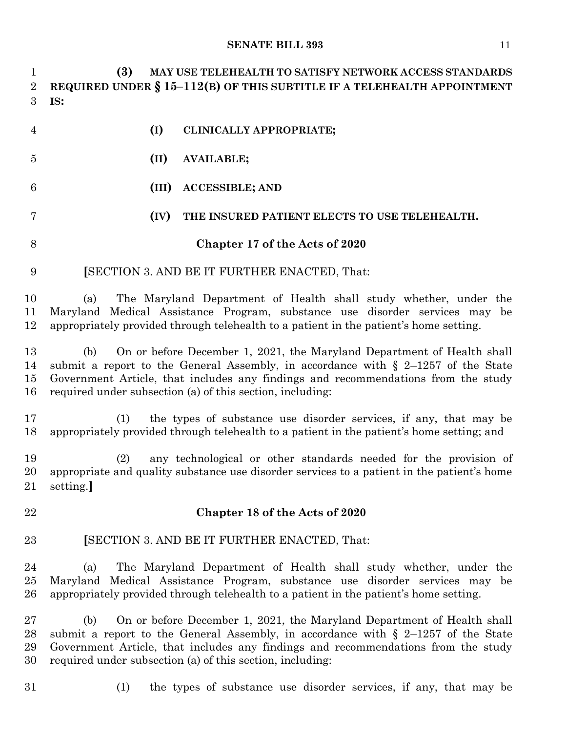## **SENATE BILL 393** 11

| $\mathbf{1}$<br>$\overline{2}$<br>3 | (3)<br>MAY USE TELEHEALTH TO SATISFY NETWORK ACCESS STANDARDS<br>REQUIRED UNDER $\S 15-112(B)$ OF THIS SUBTITLE IF A TELEHEALTH APPOINTMENT<br>IS:                                                                                                                                                                      |
|-------------------------------------|-------------------------------------------------------------------------------------------------------------------------------------------------------------------------------------------------------------------------------------------------------------------------------------------------------------------------|
| 4                                   | (I)<br>CLINICALLY APPROPRIATE;                                                                                                                                                                                                                                                                                          |
| $\overline{5}$                      | (II)<br><b>AVAILABLE;</b>                                                                                                                                                                                                                                                                                               |
| 6                                   | <b>ACCESSIBLE; AND</b><br>(III)                                                                                                                                                                                                                                                                                         |
| 7                                   | (IV)<br>THE INSURED PATIENT ELECTS TO USE TELEHEALTH.                                                                                                                                                                                                                                                                   |
| 8                                   | Chapter 17 of the Acts of 2020                                                                                                                                                                                                                                                                                          |
| 9                                   | <b>[SECTION 3. AND BE IT FURTHER ENACTED, That:</b>                                                                                                                                                                                                                                                                     |
| 10<br>11<br>12                      | The Maryland Department of Health shall study whether, under the<br>(a)<br>Maryland Medical Assistance Program, substance use disorder services may be<br>appropriately provided through telehealth to a patient in the patient's home setting.                                                                         |
| 13<br>14<br>15<br>16                | On or before December 1, 2021, the Maryland Department of Health shall<br>(b)<br>submit a report to the General Assembly, in accordance with $\S$ 2-1257 of the State<br>Government Article, that includes any findings and recommendations from the study<br>required under subsection (a) of this section, including: |
| 17<br>18                            | the types of substance use disorder services, if any, that may be<br>(1)<br>appropriately provided through telehealth to a patient in the patient's home setting; and                                                                                                                                                   |
| 19<br>20<br>21                      | any technological or other standards needed for the provision of<br>(2)<br>appropriate and quality substance use disorder services to a patient in the patient's home<br>setting.                                                                                                                                       |
| 22                                  | Chapter 18 of the Acts of 2020                                                                                                                                                                                                                                                                                          |
| 23                                  | <b>SECTION 3. AND BE IT FURTHER ENACTED, That:</b>                                                                                                                                                                                                                                                                      |
| 24<br>$25\,$<br>26                  | The Maryland Department of Health shall study whether, under the<br>(a)<br>Maryland Medical Assistance Program, substance use disorder services may be<br>appropriately provided through telehealth to a patient in the patient's home setting.                                                                         |
| $27\,$<br>28<br>29<br>30            | On or before December 1, 2021, the Maryland Department of Health shall<br>(b)<br>submit a report to the General Assembly, in accordance with $\S$ 2-1257 of the State<br>Government Article, that includes any findings and recommendations from the study<br>required under subsection (a) of this section, including: |
| 31                                  | the types of substance use disorder services, if any, that may be<br>(1)                                                                                                                                                                                                                                                |